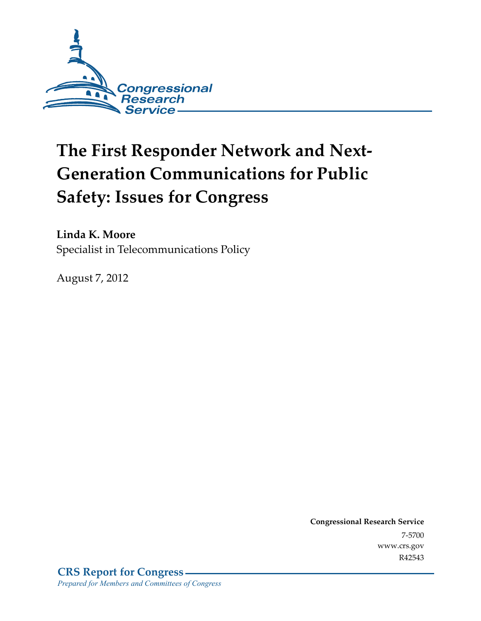

# **The First Responder Network and Next-Generation Communications for Public Safety: Issues for Congress**

**Linda K. Moore**  Specialist in Telecommunications Policy

August 7, 2012

**Congressional Research Service**  7-5700 www.crs.gov R42543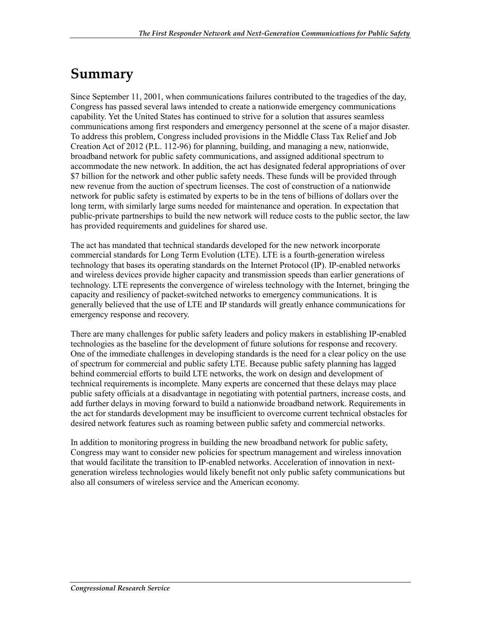# **Summary**

Since September 11, 2001, when communications failures contributed to the tragedies of the day, Congress has passed several laws intended to create a nationwide emergency communications capability. Yet the United States has continued to strive for a solution that assures seamless communications among first responders and emergency personnel at the scene of a major disaster. To address this problem, Congress included provisions in the Middle Class Tax Relief and Job Creation Act of 2012 (P.L. 112-96) for planning, building, and managing a new, nationwide, broadband network for public safety communications, and assigned additional spectrum to accommodate the new network. In addition, the act has designated federal appropriations of over \$7 billion for the network and other public safety needs. These funds will be provided through new revenue from the auction of spectrum licenses. The cost of construction of a nationwide network for public safety is estimated by experts to be in the tens of billions of dollars over the long term, with similarly large sums needed for maintenance and operation. In expectation that public-private partnerships to build the new network will reduce costs to the public sector, the law has provided requirements and guidelines for shared use.

The act has mandated that technical standards developed for the new network incorporate commercial standards for Long Term Evolution (LTE). LTE is a fourth-generation wireless technology that bases its operating standards on the Internet Protocol (IP). IP-enabled networks and wireless devices provide higher capacity and transmission speeds than earlier generations of technology. LTE represents the convergence of wireless technology with the Internet, bringing the capacity and resiliency of packet-switched networks to emergency communications. It is generally believed that the use of LTE and IP standards will greatly enhance communications for emergency response and recovery.

There are many challenges for public safety leaders and policy makers in establishing IP-enabled technologies as the baseline for the development of future solutions for response and recovery. One of the immediate challenges in developing standards is the need for a clear policy on the use of spectrum for commercial and public safety LTE. Because public safety planning has lagged behind commercial efforts to build LTE networks, the work on design and development of technical requirements is incomplete. Many experts are concerned that these delays may place public safety officials at a disadvantage in negotiating with potential partners, increase costs, and add further delays in moving forward to build a nationwide broadband network. Requirements in the act for standards development may be insufficient to overcome current technical obstacles for desired network features such as roaming between public safety and commercial networks.

In addition to monitoring progress in building the new broadband network for public safety, Congress may want to consider new policies for spectrum management and wireless innovation that would facilitate the transition to IP-enabled networks. Acceleration of innovation in nextgeneration wireless technologies would likely benefit not only public safety communications but also all consumers of wireless service and the American economy.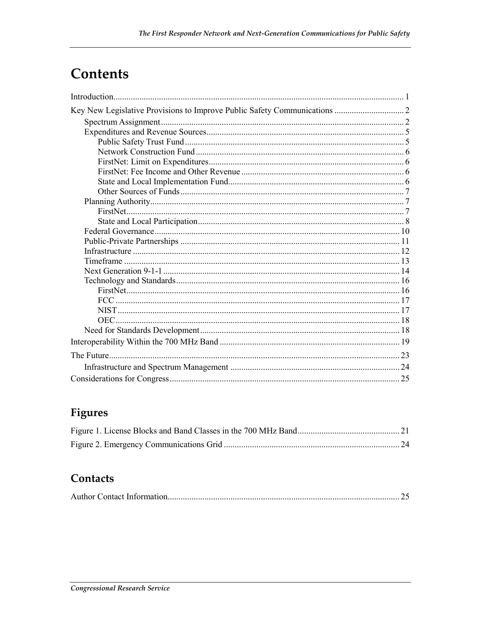# Contents

### Figures

### Contacts

|--|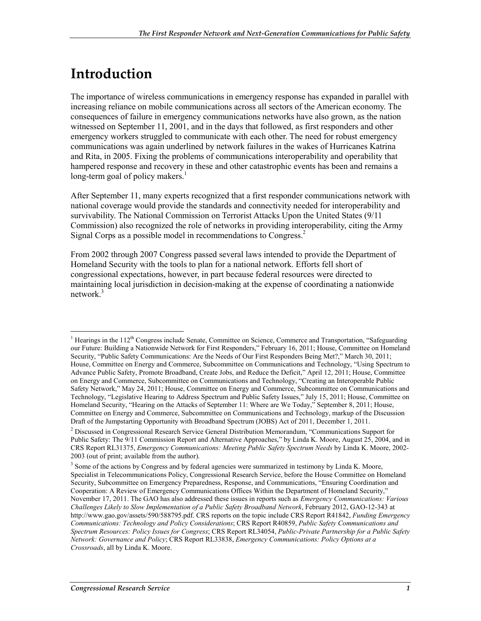# **Introduction**

The importance of wireless communications in emergency response has expanded in parallel with increasing reliance on mobile communications across all sectors of the American economy. The consequences of failure in emergency communications networks have also grown, as the nation witnessed on September 11, 2001, and in the days that followed, as first responders and other emergency workers struggled to communicate with each other. The need for robust emergency communications was again underlined by network failures in the wakes of Hurricanes Katrina and Rita, in 2005. Fixing the problems of communications interoperability and operability that hampered response and recovery in these and other catastrophic events has been and remains a long-term goal of policy makers.<sup>1</sup>

After September 11, many experts recognized that a first responder communications network with national coverage would provide the standards and connectivity needed for interoperability and survivability. The National Commission on Terrorist Attacks Upon the United States (9/11 Commission) also recognized the role of networks in providing interoperability, citing the Army Signal Corps as a possible model in recommendations to Congress.2

From 2002 through 2007 Congress passed several laws intended to provide the Department of Homeland Security with the tools to plan for a national network. Efforts fell short of congressional expectations, however, in part because federal resources were directed to maintaining local jurisdiction in decision-making at the expense of coordinating a nationwide network.<sup>3</sup>

<sup>1</sup> <sup>1</sup> Hearings in the 112<sup>th</sup> Congress include Senate, Committee on Science, Commerce and Transportation, "Safeguarding our Future: Building a Nationwide Network for First Responders," February 16, 2011; House, Committee on Homeland Security, "Public Safety Communications: Are the Needs of Our First Responders Being Met?," March 30, 2011; House, Committee on Energy and Commerce, Subcommittee on Communications and Technology, "Using Spectrum to Advance Public Safety, Promote Broadband, Create Jobs, and Reduce the Deficit," April 12, 2011; House, Committee on Energy and Commerce, Subcommittee on Communications and Technology, "Creating an Interoperable Public Safety Network," May 24, 2011; House, Committee on Energy and Commerce, Subcommittee on Communications and Technology, "Legislative Hearing to Address Spectrum and Public Safety Issues," July 15, 2011; House, Committee on Homeland Security, "Hearing on the Attacks of September 11: Where are We Today," September 8, 2011; House, Committee on Energy and Commerce, Subcommittee on Communications and Technology, markup of the Discussion Draft of the Jumpstarting Opportunity with Broadband Spectrum (JOBS) Act of 2011, December 1, 2011.

<sup>&</sup>lt;sup>2</sup> Discussed in Congressional Research Service General Distribution Memorandum, "Communications Support for Public Safety: The 9/11 Commission Report and Alternative Approaches," by Linda K. Moore, August 25, 2004, and in CRS Report RL31375, *Emergency Communications: Meeting Public Safety Spectrum Needs* by Linda K. Moore, 2002- 2003 (out of print; available from the author).

<sup>&</sup>lt;sup>3</sup> Some of the actions by Congress and by federal agencies were summarized in testimony by Linda K. Moore, Specialist in Telecommunications Policy, Congressional Research Service, before the House Committee on Homeland Security, Subcommittee on Emergency Preparedness, Response, and Communications, "Ensuring Coordination and Cooperation: A Review of Emergency Communications Offices Within the Department of Homeland Security," November 17, 2011. The GAO has also addressed these issues in reports such as *Emergency Communications: Various Challenges Likely to Slow Implementation of a Public Safety Broadband Network*, February 2012, GAO-12-343 at http://www.gao.gov/assets/590/588795.pdf. CRS reports on the topic include CRS Report R41842, *Funding Emergency Communications: Technology and Policy Considerations*; CRS Report R40859, *Public Safety Communications and Spectrum Resources: Policy Issues for Congress*; CRS Report RL34054, *Public-Private Partnership for a Public Safety Network: Governance and Policy*; CRS Report RL33838, *Emergency Communications: Policy Options at a Crossroads*, all by Linda K. Moore.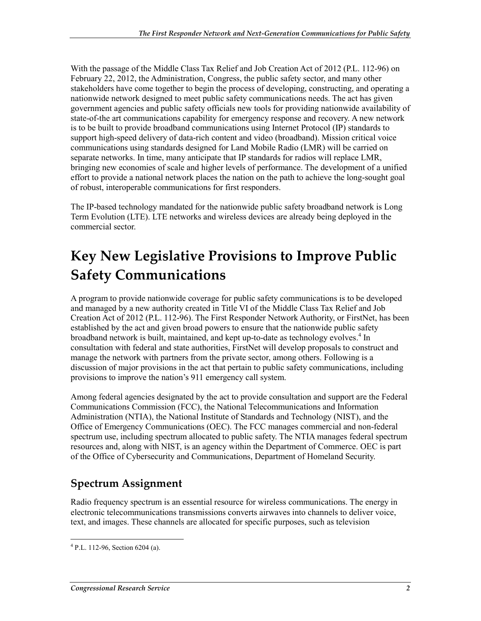With the passage of the Middle Class Tax Relief and Job Creation Act of 2012 (P.L. 112-96) on February 22, 2012, the Administration, Congress, the public safety sector, and many other stakeholders have come together to begin the process of developing, constructing, and operating a nationwide network designed to meet public safety communications needs. The act has given government agencies and public safety officials new tools for providing nationwide availability of state-of-the art communications capability for emergency response and recovery. A new network is to be built to provide broadband communications using Internet Protocol (IP) standards to support high-speed delivery of data-rich content and video (broadband). Mission critical voice communications using standards designed for Land Mobile Radio (LMR) will be carried on separate networks. In time, many anticipate that IP standards for radios will replace LMR, bringing new economies of scale and higher levels of performance. The development of a unified effort to provide a national network places the nation on the path to achieve the long-sought goal of robust, interoperable communications for first responders.

The IP-based technology mandated for the nationwide public safety broadband network is Long Term Evolution (LTE). LTE networks and wireless devices are already being deployed in the commercial sector.

# **Key New Legislative Provisions to Improve Public Safety Communications**

A program to provide nationwide coverage for public safety communications is to be developed and managed by a new authority created in Title VI of the Middle Class Tax Relief and Job Creation Act of 2012 (P.L. 112-96). The First Responder Network Authority, or FirstNet, has been established by the act and given broad powers to ensure that the nationwide public safety broadband network is built, maintained, and kept up-to-date as technology evolves.<sup>4</sup> In consultation with federal and state authorities, FirstNet will develop proposals to construct and manage the network with partners from the private sector, among others. Following is a discussion of major provisions in the act that pertain to public safety communications, including provisions to improve the nation's 911 emergency call system.

Among federal agencies designated by the act to provide consultation and support are the Federal Communications Commission (FCC), the National Telecommunications and Information Administration (NTIA), the National Institute of Standards and Technology (NIST), and the Office of Emergency Communications (OEC). The FCC manages commercial and non-federal spectrum use, including spectrum allocated to public safety. The NTIA manages federal spectrum resources and, along with NIST, is an agency within the Department of Commerce. OEC is part of the Office of Cybersecurity and Communications, Department of Homeland Security.

### **Spectrum Assignment**

Radio frequency spectrum is an essential resource for wireless communications. The energy in electronic telecommunications transmissions converts airwaves into channels to deliver voice, text, and images. These channels are allocated for specific purposes, such as television

 4 P.L. 112-96, Section 6204 (a).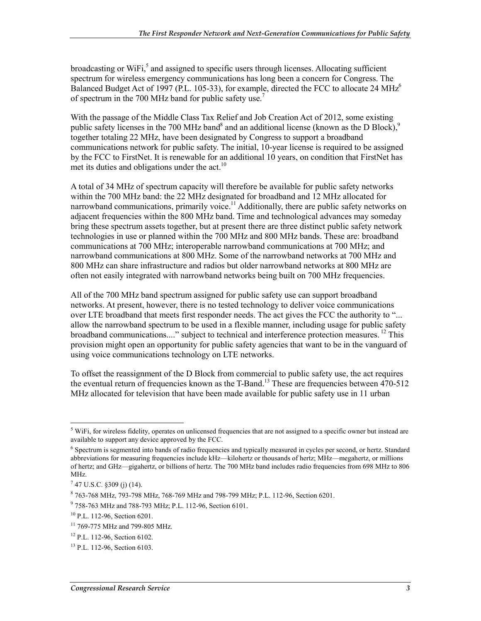broadcasting or WiFi, $5$  and assigned to specific users through licenses. Allocating sufficient spectrum for wireless emergency communications has long been a concern for Congress. The Balanced Budget Act of 1997 (P.L. 105-33), for example, directed the FCC to allocate 24 MHz<sup>6</sup> of spectrum in the 700 MHz band for public safety use.<sup>7</sup>

With the passage of the Middle Class Tax Relief and Job Creation Act of 2012, some existing public safety licenses in the 700 MHz band<sup>8</sup> and an additional license (known as the D Block),<sup>9</sup> together totaling 22 MHz, have been designated by Congress to support a broadband communications network for public safety. The initial, 10-year license is required to be assigned by the FCC to FirstNet. It is renewable for an additional 10 years, on condition that FirstNet has met its duties and obligations under the act.<sup>10</sup>

A total of 34 MHz of spectrum capacity will therefore be available for public safety networks within the 700 MHz band: the 22 MHz designated for broadband and 12 MHz allocated for narrowband communications, primarily voice.<sup>11</sup> Additionally, there are public safety networks on adjacent frequencies within the 800 MHz band. Time and technological advances may someday bring these spectrum assets together, but at present there are three distinct public safety network technologies in use or planned within the 700 MHz and 800 MHz bands. These are: broadband communications at 700 MHz; interoperable narrowband communications at 700 MHz; and narrowband communications at 800 MHz. Some of the narrowband networks at 700 MHz and 800 MHz can share infrastructure and radios but older narrowband networks at 800 MHz are often not easily integrated with narrowband networks being built on 700 MHz frequencies.

All of the 700 MHz band spectrum assigned for public safety use can support broadband networks. At present, however, there is no tested technology to deliver voice communications over LTE broadband that meets first responder needs. The act gives the FCC the authority to "... allow the narrowband spectrum to be used in a flexible manner, including usage for public safety broadband communications...." subject to technical and interference protection measures. <sup>12</sup> This provision might open an opportunity for public safety agencies that want to be in the vanguard of using voice communications technology on LTE networks.

To offset the reassignment of the D Block from commercial to public safety use, the act requires the eventual return of frequencies known as the T-Band.<sup>13</sup> These are frequencies between  $470-512$ MHz allocated for television that have been made available for public safety use in 11 urban

<sup>&</sup>lt;sup>5</sup> WiFi, for wireless fidelity, operates on unlicensed frequencies that are not assigned to a specific owner but instead are available to support any device approved by the FCC.

<sup>&</sup>lt;sup>6</sup> Spectrum is segmented into bands of radio frequencies and typically measured in cycles per second, or hertz. Standard abbreviations for measuring frequencies include kHz—kilohertz or thousands of hertz; MHz—megahertz, or millions of hertz; and GHz—gigahertz, or billions of hertz. The 700 MHz band includes radio frequencies from 698 MHz to 806 MHz.

 $7$  47 U.S.C. §309 (j) (14).

<sup>8</sup> 763-768 MHz, 793-798 MHz, 768-769 MHz and 798-799 MHz; P.L. 112-96, Section 6201.

<sup>9</sup> 758-763 MHz and 788-793 MHz; P.L. 112-96, Section 6101.

<sup>10</sup> P.L. 112-96, Section 6201.

<sup>&</sup>lt;sup>11</sup> 769-775 MHz and 799-805 MHz.

<sup>12</sup> P.L. 112-96, Section 6102.

<sup>13</sup> P.L. 112-96, Section 6103.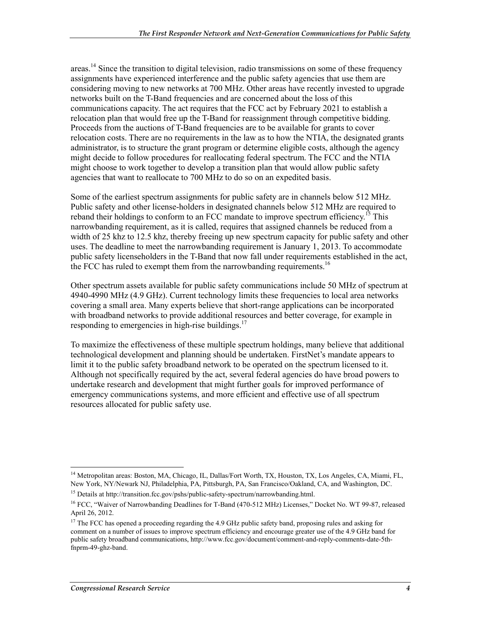areas.<sup>14</sup> Since the transition to digital television, radio transmissions on some of these frequency assignments have experienced interference and the public safety agencies that use them are considering moving to new networks at 700 MHz. Other areas have recently invested to upgrade networks built on the T-Band frequencies and are concerned about the loss of this communications capacity. The act requires that the FCC act by February 2021 to establish a relocation plan that would free up the T-Band for reassignment through competitive bidding. Proceeds from the auctions of T-Band frequencies are to be available for grants to cover relocation costs. There are no requirements in the law as to how the NTIA, the designated grants administrator, is to structure the grant program or determine eligible costs, although the agency might decide to follow procedures for reallocating federal spectrum. The FCC and the NTIA might choose to work together to develop a transition plan that would allow public safety agencies that want to reallocate to 700 MHz to do so on an expedited basis.

Some of the earliest spectrum assignments for public safety are in channels below 512 MHz. Public safety and other license-holders in designated channels below 512 MHz are required to reband their holdings to conform to an FCC mandate to improve spectrum efficiency.<sup>15</sup> This narrowbanding requirement, as it is called, requires that assigned channels be reduced from a width of 25 khz to 12.5 khz, thereby freeing up new spectrum capacity for public safety and other uses. The deadline to meet the narrowbanding requirement is January 1, 2013. To accommodate public safety licenseholders in the T-Band that now fall under requirements established in the act, the FCC has ruled to exempt them from the narrowbanding requirements.<sup>16</sup>

Other spectrum assets available for public safety communications include 50 MHz of spectrum at 4940-4990 MHz (4.9 GHz). Current technology limits these frequencies to local area networks covering a small area. Many experts believe that short-range applications can be incorporated with broadband networks to provide additional resources and better coverage, for example in responding to emergencies in high-rise buildings. $17$ 

To maximize the effectiveness of these multiple spectrum holdings, many believe that additional technological development and planning should be undertaken. FirstNet's mandate appears to limit it to the public safety broadband network to be operated on the spectrum licensed to it. Although not specifically required by the act, several federal agencies do have broad powers to undertake research and development that might further goals for improved performance of emergency communications systems, and more efficient and effective use of all spectrum resources allocated for public safety use.

<sup>1</sup> <sup>14</sup> Metropolitan areas: Boston, MA, Chicago, IL, Dallas/Fort Worth, TX, Houston, TX, Los Angeles, CA, Miami, FL, New York, NY/Newark NJ, Philadelphia, PA, Pittsburgh, PA, San Francisco/Oakland, CA, and Washington, DC.

<sup>&</sup>lt;sup>15</sup> Details at http://transition.fcc.gov/pshs/public-safety-spectrum/narrowbanding.html.

<sup>&</sup>lt;sup>16</sup> FCC, "Waiver of Narrowbanding Deadlines for T-Band (470-512 MHz) Licenses," Docket No. WT 99-87, released April 26, 2012.

<sup>&</sup>lt;sup>17</sup> The FCC has opened a proceeding regarding the 4.9 GHz public safety band, proposing rules and asking for comment on a number of issues to improve spectrum efficiency and encourage greater use of the 4.9 GHz band for public safety broadband communications, http://www.fcc.gov/document/comment-and-reply-comments-date-5thfnprm-49-ghz-band.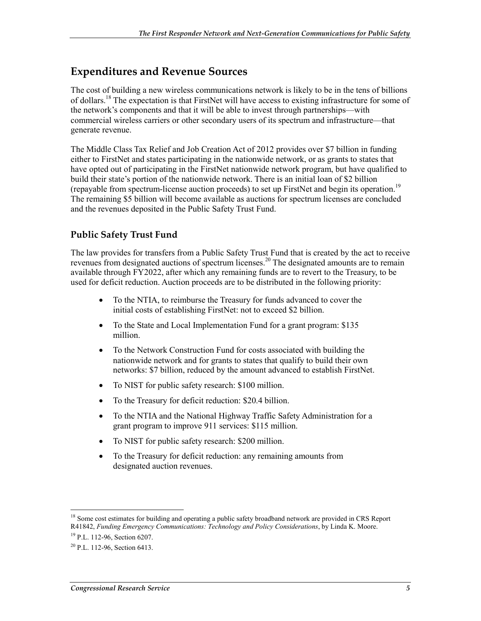### **Expenditures and Revenue Sources**

The cost of building a new wireless communications network is likely to be in the tens of billions of dollars.<sup>18</sup> The expectation is that FirstNet will have access to existing infrastructure for some of the network's components and that it will be able to invest through partnerships—with commercial wireless carriers or other secondary users of its spectrum and infrastructure—that generate revenue.

The Middle Class Tax Relief and Job Creation Act of 2012 provides over \$7 billion in funding either to FirstNet and states participating in the nationwide network, or as grants to states that have opted out of participating in the FirstNet nationwide network program, but have qualified to build their state's portion of the nationwide network. There is an initial loan of \$2 billion (repayable from spectrum-license auction proceeds) to set up FirstNet and begin its operation.19 The remaining \$5 billion will become available as auctions for spectrum licenses are concluded and the revenues deposited in the Public Safety Trust Fund.

#### **Public Safety Trust Fund**

The law provides for transfers from a Public Safety Trust Fund that is created by the act to receive revenues from designated auctions of spectrum licenses.<sup>20</sup> The designated amounts are to remain available through FY2022, after which any remaining funds are to revert to the Treasury, to be used for deficit reduction. Auction proceeds are to be distributed in the following priority:

- To the NTIA, to reimburse the Treasury for funds advanced to cover the initial costs of establishing FirstNet: not to exceed \$2 billion.
- To the State and Local Implementation Fund for a grant program: \$135 million.
- To the Network Construction Fund for costs associated with building the nationwide network and for grants to states that qualify to build their own networks: \$7 billion, reduced by the amount advanced to establish FirstNet.
- To NIST for public safety research: \$100 million.
- To the Treasury for deficit reduction: \$20.4 billion.
- To the NTIA and the National Highway Traffic Safety Administration for a grant program to improve 911 services: \$115 million.
- To NIST for public safety research: \$200 million.
- To the Treasury for deficit reduction: any remaining amounts from designated auction revenues.

<sup>&</sup>lt;sup>18</sup> Some cost estimates for building and operating a public safety broadband network are provided in CRS Report R41842, *Funding Emergency Communications: Technology and Policy Considerations*, by Linda K. Moore.

<sup>19</sup> P.L. 112-96, Section 6207.

 $^{20}$  P.L. 112-96. Section 6413.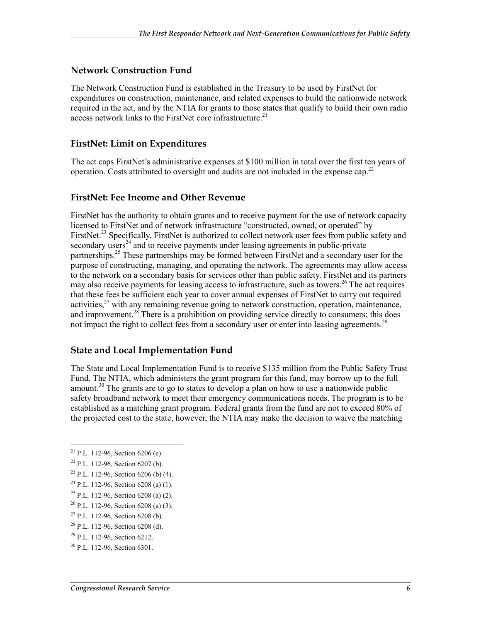#### **Network Construction Fund**

The Network Construction Fund is established in the Treasury to be used by FirstNet for expenditures on construction, maintenance, and related expenses to build the nationwide network required in the act, and by the NTIA for grants to those states that qualify to build their own radio access network links to the FirstNet core infrastructure.<sup>21</sup>

#### **FirstNet: Limit on Expenditures**

The act caps FirstNet's administrative expenses at \$100 million in total over the first ten years of operation. Costs attributed to oversight and audits are not included in the expense cap.<sup>22</sup>

#### **FirstNet: Fee Income and Other Revenue**

FirstNet has the authority to obtain grants and to receive payment for the use of network capacity licensed to FirstNet and of network infrastructure "constructed, owned, or operated" by FirstNet.<sup>23</sup> Specifically, FirstNet is authorized to collect network user fees from public safety and secondary users<sup>24</sup> and to receive payments under leasing agreements in public-private partnerships.<sup>25</sup> These partnerships may be formed between FirstNet and a secondary user for the purpose of constructing, managing, and operating the network. The agreements may allow access to the network on a secondary basis for services other than public safety. FirstNet and its partners may also receive payments for leasing access to infrastructure, such as towers.<sup>26</sup> The act requires that these fees be sufficient each year to cover annual expenses of FirstNet to carry out required activities,  $27$  with any remaining revenue going to network construction, operation, maintenance, and improvement.<sup>28</sup> There is a prohibition on providing service directly to consumers; this does not impact the right to collect fees from a secondary user or enter into leasing agreements.<sup>29</sup>

#### **State and Local Implementation Fund**

The State and Local Implementation Fund is to receive \$135 million from the Public Safety Trust Fund. The NTIA, which administers the grant program for this fund, may borrow up to the full amount.<sup>30</sup> The grants are to go to states to develop a plan on how to use a nationwide public safety broadband network to meet their emergency communications needs. The program is to be established as a matching grant program. Federal grants from the fund are not to exceed 80% of the projected cost to the state, however, the NTIA may make the decision to waive the matching

<sup>1</sup> <sup>21</sup> P.L. 112-96, Section 6206 (e).

 $22$  P.L. 112-96, Section 6207 (b).

<sup>23</sup> P.L. 112-96, Section 6206 (b) (4).

 $^{24}$  P.L. 112-96. Section 6208 (a) (1).

<sup>&</sup>lt;sup>25</sup> P.L. 112-96, Section 6208 (a) (2).

<sup>26</sup> P.L. 112-96, Section 6208 (a) (3).

 $27$  P.L. 112-96, Section 6208 (b).

<sup>28</sup> P.L. 112-96, Section 6208 (d).

<sup>29</sup> P.L. 112-96, Section 6212.

<sup>30</sup> P.L. 112-96, Section 6301.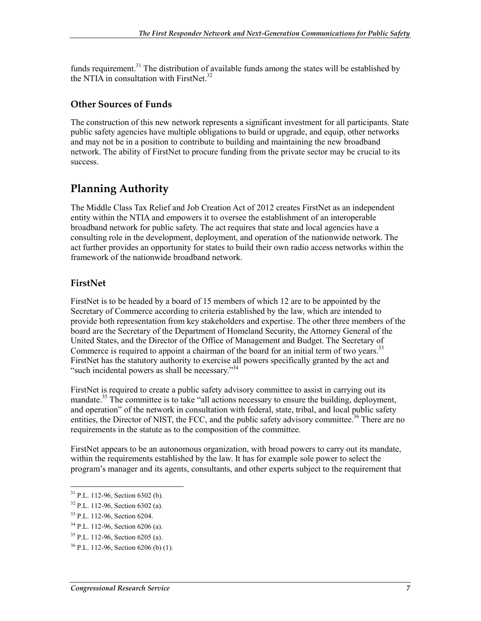funds requirement.<sup>31</sup> The distribution of available funds among the states will be established by the NTI $\vec{A}$  in consultation with FirstNet.<sup>32</sup>

#### **Other Sources of Funds**

The construction of this new network represents a significant investment for all participants. State public safety agencies have multiple obligations to build or upgrade, and equip, other networks and may not be in a position to contribute to building and maintaining the new broadband network. The ability of FirstNet to procure funding from the private sector may be crucial to its success.

### **Planning Authority**

The Middle Class Tax Relief and Job Creation Act of 2012 creates FirstNet as an independent entity within the NTIA and empowers it to oversee the establishment of an interoperable broadband network for public safety. The act requires that state and local agencies have a consulting role in the development, deployment, and operation of the nationwide network. The act further provides an opportunity for states to build their own radio access networks within the framework of the nationwide broadband network.

#### **FirstNet**

FirstNet is to be headed by a board of 15 members of which 12 are to be appointed by the Secretary of Commerce according to criteria established by the law, which are intended to provide both representation from key stakeholders and expertise. The other three members of the board are the Secretary of the Department of Homeland Security, the Attorney General of the United States, and the Director of the Office of Management and Budget. The Secretary of Commerce is required to appoint a chairman of the board for an initial term of two years.<sup>33</sup> FirstNet has the statutory authority to exercise all powers specifically granted by the act and "such incidental powers as shall be necessary."<sup>34</sup>

FirstNet is required to create a public safety advisory committee to assist in carrying out its mandate.<sup>35</sup> The committee is to take "all actions necessary to ensure the building, deployment, and operation" of the network in consultation with federal, state, tribal, and local public safety entities, the Director of NIST, the FCC, and the public safety advisory committee.<sup>36</sup> There are no requirements in the statute as to the composition of the committee.

FirstNet appears to be an autonomous organization, with broad powers to carry out its mandate, within the requirements established by the law. It has for example sole power to select the program's manager and its agents, consultants, and other experts subject to the requirement that

 $31$  P.L. 112-96, Section 6302 (b).

<sup>32</sup> P.L. 112-96, Section 6302 (a).

<sup>33</sup> P.L. 112-96, Section 6204.

<sup>34</sup> P.L. 112-96, Section 6206 (a).

<sup>35</sup> P.L. 112-96, Section 6205 (a).

 $36$  P.L. 112-96, Section 6206 (b) (1).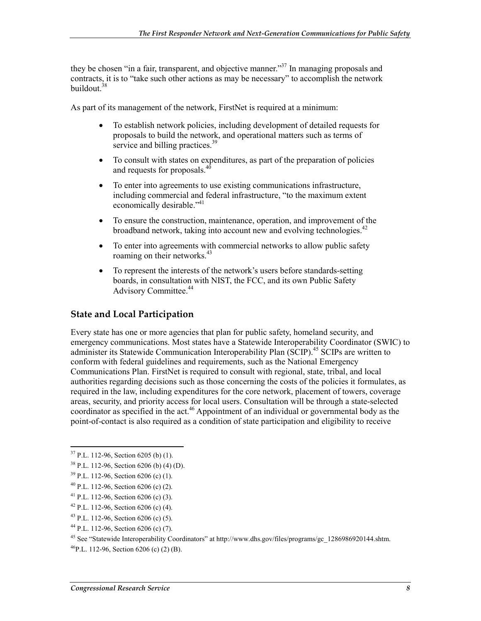they be chosen "in a fair, transparent, and objective manner."<sup>37</sup> In managing proposals and contracts, it is to "take such other actions as may be necessary" to accomplish the network buildout.<sup>38</sup>

As part of its management of the network, FirstNet is required at a minimum:

- To establish network policies, including development of detailed requests for proposals to build the network, and operational matters such as terms of service and billing practices.<sup>39</sup>
- To consult with states on expenditures, as part of the preparation of policies and requests for proposals.<sup>40</sup>
- To enter into agreements to use existing communications infrastructure, including commercial and federal infrastructure, "to the maximum extent economically desirable."<sup>41</sup>
- To ensure the construction, maintenance, operation, and improvement of the broadband network, taking into account new and evolving technologies.<sup>42</sup>
- To enter into agreements with commercial networks to allow public safety roaming on their networks.<sup>43</sup>
- To represent the interests of the network's users before standards-setting boards, in consultation with NIST, the FCC, and its own Public Safety Advisory Committee.<sup>44</sup>

#### **State and Local Participation**

Every state has one or more agencies that plan for public safety, homeland security, and emergency communications. Most states have a Statewide Interoperability Coordinator (SWIC) to administer its Statewide Communication Interoperability Plan (SCIP).<sup>45</sup> SCIPs are written to conform with federal guidelines and requirements, such as the National Emergency Communications Plan. FirstNet is required to consult with regional, state, tribal, and local authorities regarding decisions such as those concerning the costs of the policies it formulates, as required in the law, including expenditures for the core network, placement of towers, coverage areas, security, and priority access for local users. Consultation will be through a state-selected coordinator as specified in the act.<sup>46</sup> Appointment of an individual or governmental body as the point-of-contact is also required as a condition of state participation and eligibility to receive

1

- $42$  P.L. 112-96, Section 6206 (c) (4).
- $43$  P.L. 112-96, Section 6206 (c) (5).
- 44 P.L. 112-96, Section 6206 (c) (7).

45 See "Statewide Interoperability Coordinators" at http://www.dhs.gov/files/programs/gc\_1286986920144.shtm.

 $37$  P.L. 112-96, Section 6205 (b) (1).

<sup>38</sup> P.L. 112-96, Section 6206 (b) (4) (D).

 $39$  P.L. 112-96, Section 6206 (c) (1).

 $40$  P.L. 112-96, Section 6206 (c) (2).

<sup>&</sup>lt;sup>41</sup> P.L. 112-96, Section 6206 (c)  $(3)$ .

 $^{46}$ P.L. 112-96. Section 6206 (c) (2) (B).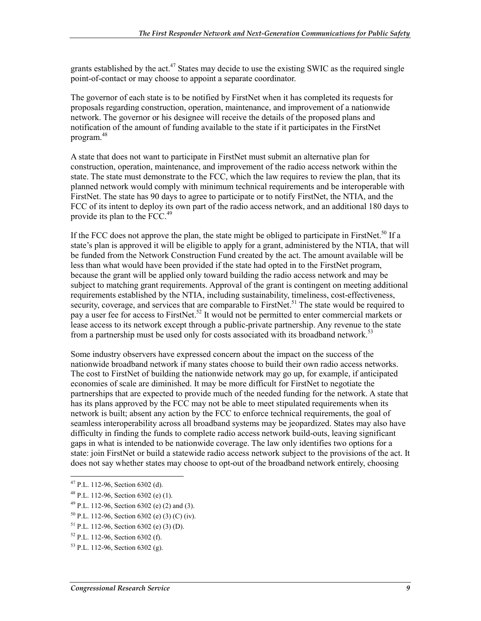grants established by the act.<sup>47</sup> States may decide to use the existing SWIC as the required single point-of-contact or may choose to appoint a separate coordinator.

The governor of each state is to be notified by FirstNet when it has completed its requests for proposals regarding construction, operation, maintenance, and improvement of a nationwide network. The governor or his designee will receive the details of the proposed plans and notification of the amount of funding available to the state if it participates in the FirstNet program.48

A state that does not want to participate in FirstNet must submit an alternative plan for construction, operation, maintenance, and improvement of the radio access network within the state. The state must demonstrate to the FCC, which the law requires to review the plan, that its planned network would comply with minimum technical requirements and be interoperable with FirstNet. The state has 90 days to agree to participate or to notify FirstNet, the NTIA, and the FCC of its intent to deploy its own part of the radio access network, and an additional 180 days to provide its plan to the FCC.<sup>49</sup>

If the FCC does not approve the plan, the state might be obliged to participate in FirstNet.<sup>50</sup> If a state's plan is approved it will be eligible to apply for a grant, administered by the NTIA, that will be funded from the Network Construction Fund created by the act. The amount available will be less than what would have been provided if the state had opted in to the FirstNet program, because the grant will be applied only toward building the radio access network and may be subject to matching grant requirements. Approval of the grant is contingent on meeting additional requirements established by the NTIA, including sustainability, timeliness, cost-effectiveness, security, coverage, and services that are comparable to FirstNet.<sup>51</sup> The state would be required to pay a user fee for access to FirstNet.<sup>52</sup> It would not be permitted to enter commercial markets or lease access to its network except through a public-private partnership. Any revenue to the state from a partnership must be used only for costs associated with its broadband network.<sup>53</sup>

Some industry observers have expressed concern about the impact on the success of the nationwide broadband network if many states choose to build their own radio access networks. The cost to FirstNet of building the nationwide network may go up, for example, if anticipated economies of scale are diminished. It may be more difficult for FirstNet to negotiate the partnerships that are expected to provide much of the needed funding for the network. A state that has its plans approved by the FCC may not be able to meet stipulated requirements when its network is built; absent any action by the FCC to enforce technical requirements, the goal of seamless interoperability across all broadband systems may be jeopardized. States may also have difficulty in finding the funds to complete radio access network build-outs, leaving significant gaps in what is intended to be nationwide coverage. The law only identifies two options for a state: join FirstNet or build a statewide radio access network subject to the provisions of the act. It does not say whether states may choose to opt-out of the broadband network entirely, choosing

 $47$  P.L. 112-96, Section 6302 (d).

<sup>48</sup> P.L. 112-96, Section 6302 (e) (1).

 $49$  P.L. 112-96, Section 6302 (e) (2) and (3).

 $50$  P.L. 112-96, Section 6302 (e) (3) (C) (iv).

<sup>51</sup> P.L. 112-96, Section 6302 (e) (3) (D).

<sup>52</sup> P.L. 112-96, Section 6302 (f).

<sup>53</sup> P.L. 112-96, Section 6302 (g).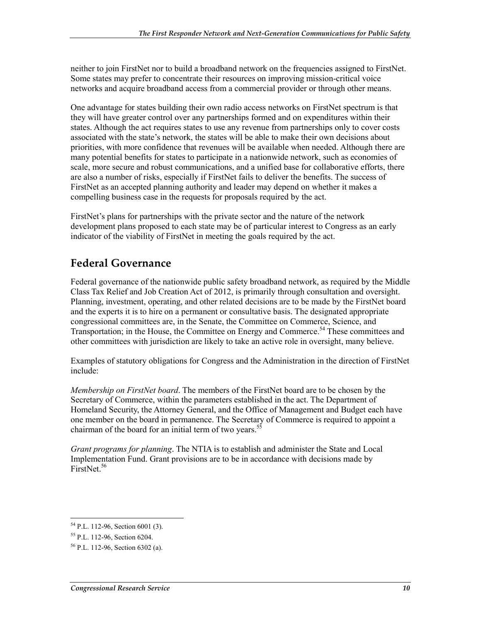neither to join FirstNet nor to build a broadband network on the frequencies assigned to FirstNet. Some states may prefer to concentrate their resources on improving mission-critical voice networks and acquire broadband access from a commercial provider or through other means.

One advantage for states building their own radio access networks on FirstNet spectrum is that they will have greater control over any partnerships formed and on expenditures within their states. Although the act requires states to use any revenue from partnerships only to cover costs associated with the state's network, the states will be able to make their own decisions about priorities, with more confidence that revenues will be available when needed. Although there are many potential benefits for states to participate in a nationwide network, such as economies of scale, more secure and robust communications, and a unified base for collaborative efforts, there are also a number of risks, especially if FirstNet fails to deliver the benefits. The success of FirstNet as an accepted planning authority and leader may depend on whether it makes a compelling business case in the requests for proposals required by the act.

FirstNet's plans for partnerships with the private sector and the nature of the network development plans proposed to each state may be of particular interest to Congress as an early indicator of the viability of FirstNet in meeting the goals required by the act.

### **Federal Governance**

Federal governance of the nationwide public safety broadband network, as required by the Middle Class Tax Relief and Job Creation Act of 2012, is primarily through consultation and oversight. Planning, investment, operating, and other related decisions are to be made by the FirstNet board and the experts it is to hire on a permanent or consultative basis. The designated appropriate congressional committees are, in the Senate, the Committee on Commerce, Science, and Transportation; in the House, the Committee on Energy and Commerce.<sup>54</sup> These committees and other committees with jurisdiction are likely to take an active role in oversight, many believe.

Examples of statutory obligations for Congress and the Administration in the direction of FirstNet include:

*Membership on FirstNet board*. The members of the FirstNet board are to be chosen by the Secretary of Commerce, within the parameters established in the act. The Department of Homeland Security, the Attorney General, and the Office of Management and Budget each have one member on the board in permanence. The Secretary of Commerce is required to appoint a chairman of the board for an initial term of two years.<sup>55</sup>

*Grant programs for planning*. The NTIA is to establish and administer the State and Local Implementation Fund. Grant provisions are to be in accordance with decisions made by FirstNet.<sup>56</sup>

<sup>54</sup> P.L. 112-96, Section 6001 (3).

<sup>55</sup> P.L. 112-96, Section 6204.

<sup>56</sup> P.L. 112-96, Section 6302 (a).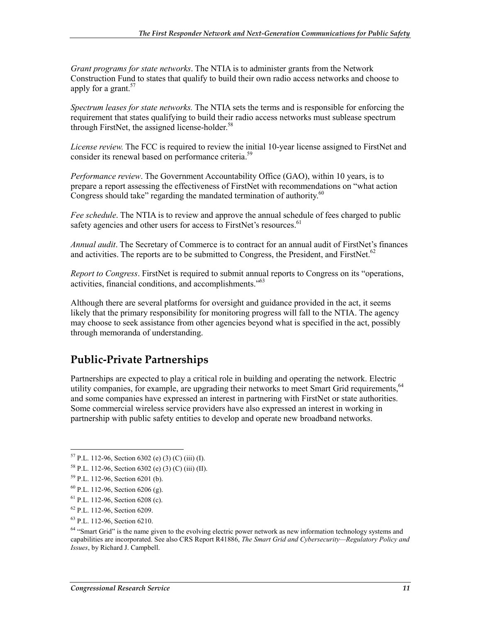*Grant programs for state networks*. The NTIA is to administer grants from the Network Construction Fund to states that qualify to build their own radio access networks and choose to apply for a grant.<sup>57</sup>

*Spectrum leases for state networks.* The NTIA sets the terms and is responsible for enforcing the requirement that states qualifying to build their radio access networks must sublease spectrum through FirstNet, the assigned license-holder.<sup>58</sup>

*License review.* The FCC is required to review the initial 10-year license assigned to FirstNet and consider its renewal based on performance criteria.59

*Performance review*. The Government Accountability Office (GAO), within 10 years, is to prepare a report assessing the effectiveness of FirstNet with recommendations on "what action Congress should take" regarding the mandated termination of authority. $60$ 

*Fee schedule*. The NTIA is to review and approve the annual schedule of fees charged to public safety agencies and other users for access to FirstNet's resources.<sup>61</sup>

*Annual audit*. The Secretary of Commerce is to contract for an annual audit of FirstNet's finances and activities. The reports are to be submitted to Congress, the President, and FirstNet.<sup>62</sup>

*Report to Congress*. FirstNet is required to submit annual reports to Congress on its "operations, activities, financial conditions, and accomplishments."63

Although there are several platforms for oversight and guidance provided in the act, it seems likely that the primary responsibility for monitoring progress will fall to the NTIA. The agency may choose to seek assistance from other agencies beyond what is specified in the act, possibly through memoranda of understanding.

### **Public-Private Partnerships**

Partnerships are expected to play a critical role in building and operating the network. Electric utility companies, for example, are upgrading their networks to meet Smart Grid requirements.<sup>64</sup> and some companies have expressed an interest in partnering with FirstNet or state authorities. Some commercial wireless service providers have also expressed an interest in working in partnership with public safety entities to develop and operate new broadband networks.

61 P.L. 112-96, Section 6208 (c).

63 P.L. 112-96, Section 6210.

<sup>1</sup>  $57$  P.L. 112-96, Section 6302 (e) (3) (C) (iii) (I).

<sup>58</sup> P.L. 112-96, Section 6302 (e) (3) (C) (iii) (II).

<sup>59</sup> P.L. 112-96, Section 6201 (b).

 $^{60}$  P.L. 112-96, Section 6206 (g).

<sup>62</sup> P.L. 112-96, Section 6209.

<sup>&</sup>lt;sup>64</sup> "Smart Grid" is the name given to the evolving electric power network as new information technology systems and capabilities are incorporated. See also CRS Report R41886, *The Smart Grid and Cybersecurity—Regulatory Policy and Issues*, by Richard J. Campbell.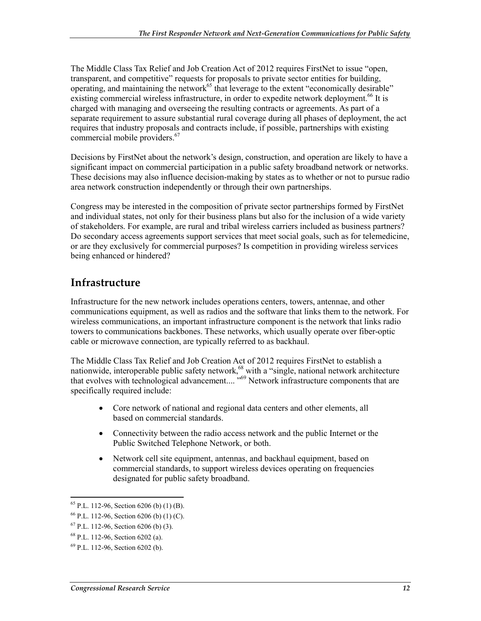The Middle Class Tax Relief and Job Creation Act of 2012 requires FirstNet to issue "open, transparent, and competitive" requests for proposals to private sector entities for building, operating, and maintaining the network $^{65}$  that leverage to the extent "economically desirable" existing commercial wireless infrastructure, in order to expedite network deployment.<sup>66</sup> It is charged with managing and overseeing the resulting contracts or agreements. As part of a separate requirement to assure substantial rural coverage during all phases of deployment, the act requires that industry proposals and contracts include, if possible, partnerships with existing commercial mobile providers.<sup>67</sup>

Decisions by FirstNet about the network's design, construction, and operation are likely to have a significant impact on commercial participation in a public safety broadband network or networks. These decisions may also influence decision-making by states as to whether or not to pursue radio area network construction independently or through their own partnerships.

Congress may be interested in the composition of private sector partnerships formed by FirstNet and individual states, not only for their business plans but also for the inclusion of a wide variety of stakeholders. For example, are rural and tribal wireless carriers included as business partners? Do secondary access agreements support services that meet social goals, such as for telemedicine, or are they exclusively for commercial purposes? Is competition in providing wireless services being enhanced or hindered?

### **Infrastructure**

Infrastructure for the new network includes operations centers, towers, antennae, and other communications equipment, as well as radios and the software that links them to the network. For wireless communications, an important infrastructure component is the network that links radio towers to communications backbones. These networks, which usually operate over fiber-optic cable or microwave connection, are typically referred to as backhaul.

The Middle Class Tax Relief and Job Creation Act of 2012 requires FirstNet to establish a nationwide, interoperable public safety network,<sup>68</sup> with a "single, national network architecture that evolves with technological advancement.... "<sup>69</sup> Network infrastructure components that are specifically required include:

- Core network of national and regional data centers and other elements, all based on commercial standards.
- Connectivity between the radio access network and the public Internet or the Public Switched Telephone Network, or both.
- Network cell site equipment, antennas, and backhaul equipment, based on commercial standards, to support wireless devices operating on frequencies designated for public safety broadband.

<sup>1</sup>  $65$  P.L. 112-96, Section 6206 (b) (1) (B).

 $66$  P.L. 112-96, Section 6206 (b) (1) (C).

 $67$  P.L. 112-96, Section 6206 (b) (3).

<sup>68</sup> P.L. 112-96, Section 6202 (a).

<sup>69</sup> P.L. 112-96, Section 6202 (b).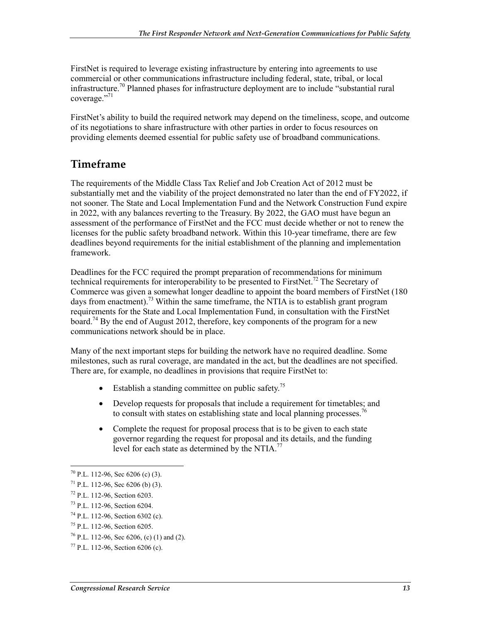FirstNet is required to leverage existing infrastructure by entering into agreements to use commercial or other communications infrastructure including federal, state, tribal, or local infrastructure.<sup>70</sup> Planned phases for infrastructure deployment are to include "substantial rural" coverage."<sup>71</sup>

FirstNet's ability to build the required network may depend on the timeliness, scope, and outcome of its negotiations to share infrastructure with other parties in order to focus resources on providing elements deemed essential for public safety use of broadband communications.

#### **Timeframe**

The requirements of the Middle Class Tax Relief and Job Creation Act of 2012 must be substantially met and the viability of the project demonstrated no later than the end of FY2022, if not sooner. The State and Local Implementation Fund and the Network Construction Fund expire in 2022, with any balances reverting to the Treasury. By 2022, the GAO must have begun an assessment of the performance of FirstNet and the FCC must decide whether or not to renew the licenses for the public safety broadband network. Within this 10-year timeframe, there are few deadlines beyond requirements for the initial establishment of the planning and implementation framework.

Deadlines for the FCC required the prompt preparation of recommendations for minimum technical requirements for interoperability to be presented to FirstNet.<sup>72</sup> The Secretary of Commerce was given a somewhat longer deadline to appoint the board members of FirstNet (180 days from enactment).<sup>73</sup> Within the same timeframe, the NTIA is to establish grant program requirements for the State and Local Implementation Fund, in consultation with the FirstNet board.<sup>74</sup> By the end of August 2012, therefore, key components of the program for a new communications network should be in place.

Many of the next important steps for building the network have no required deadline. Some milestones, such as rural coverage, are mandated in the act, but the deadlines are not specified. There are, for example, no deadlines in provisions that require FirstNet to:

- Establish a standing committee on public safety.<sup>75</sup>
- Develop requests for proposals that include a requirement for timetables; and to consult with states on establishing state and local planning processes.<sup>76</sup>
- Complete the request for proposal process that is to be given to each state governor regarding the request for proposal and its details, and the funding level for each state as determined by the NTIA.<sup>77</sup>

 $70$  P.L. 112-96, Sec 6206 (c) (3).

 $71$  P.L. 112-96, Sec 6206 (b) (3).

<sup>72</sup> P.L. 112-96, Section 6203.

<sup>73</sup> P.L. 112-96, Section 6204.

 $74$  P.L. 112-96, Section 6302 (c).

<sup>75</sup> P.L. 112-96, Section 6205.

<sup>&</sup>lt;sup>76</sup> P.L. 112-96, Sec 6206, (c) (1) and (2).

<sup>77</sup> P.L. 112-96, Section 6206 (c).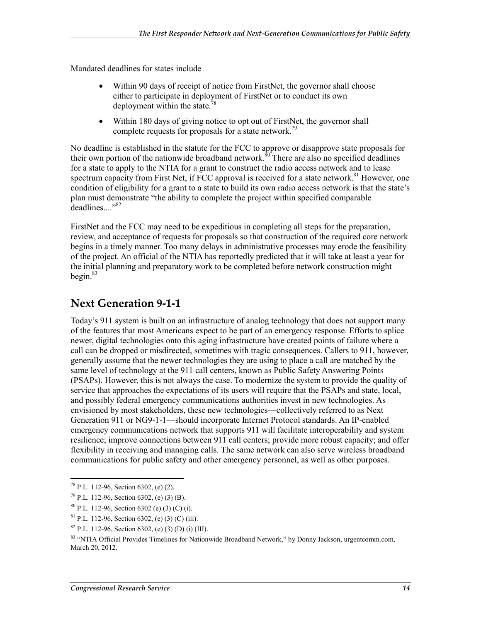Mandated deadlines for states include

- Within 90 days of receipt of notice from FirstNet, the governor shall choose either to participate in deployment of FirstNet or to conduct its own deployment within the state.78
- Within 180 days of giving notice to opt out of FirstNet, the governor shall complete requests for proposals for a state network.<sup>79</sup>

No deadline is established in the statute for the FCC to approve or disapprove state proposals for their own portion of the nationwide broadband network. $80^{\circ}$ There are also no specified deadlines for a state to apply to the NTIA for a grant to construct the radio access network and to lease spectrum capacity from First Net, if FCC approval is received for a state network.<sup>81</sup> However, one condition of eligibility for a grant to a state to build its own radio access network is that the state's plan must demonstrate "the ability to complete the project within specified comparable  $\hat{d}$ eadlines.<sup>382</sup>

FirstNet and the FCC may need to be expeditious in completing all steps for the preparation, review, and acceptance of requests for proposals so that construction of the required core network begins in a timely manner. Too many delays in administrative processes may erode the feasibility of the project. An official of the NTIA has reportedly predicted that it will take at least a year for the initial planning and preparatory work to be completed before network construction might begin. $83$ 

### **Next Generation 9-1-1**

Today's 911 system is built on an infrastructure of analog technology that does not support many of the features that most Americans expect to be part of an emergency response. Efforts to splice newer, digital technologies onto this aging infrastructure have created points of failure where a call can be dropped or misdirected, sometimes with tragic consequences. Callers to 911, however, generally assume that the newer technologies they are using to place a call are matched by the same level of technology at the 911 call centers, known as Public Safety Answering Points (PSAPs). However, this is not always the case. To modernize the system to provide the quality of service that approaches the expectations of its users will require that the PSAPs and state, local, and possibly federal emergency communications authorities invest in new technologies. As envisioned by most stakeholders, these new technologies—collectively referred to as Next Generation 911 or NG9-1-1—should incorporate Internet Protocol standards. An IP-enabled emergency communications network that supports 911 will facilitate interoperability and system resilience; improve connections between 911 call centers; provide more robust capacity; and offer flexibility in receiving and managing calls. The same network can also serve wireless broadband communications for public safety and other emergency personnel, as well as other purposes.

<sup>1</sup>  $78$  P.L. 112-96, Section 6302, (e) (2).

<sup>79</sup> P.L. 112-96, Section 6302, (e) (3) (B).

 $80$  P.L. 112-96, Section 6302 (e) (3) (C) (i).

 ${}^{81}$  P.L. 112-96, Section 6302, (e) (3) (C) (iii).

 $82$  P.L. 112-96, Section 6302, (e) (3) (D) (i) (III).

<sup>83 &</sup>quot;NTIA Official Provides Timelines for Nationwide Broadband Network," by Donny Jackson, urgentcomm.com, March 20, 2012.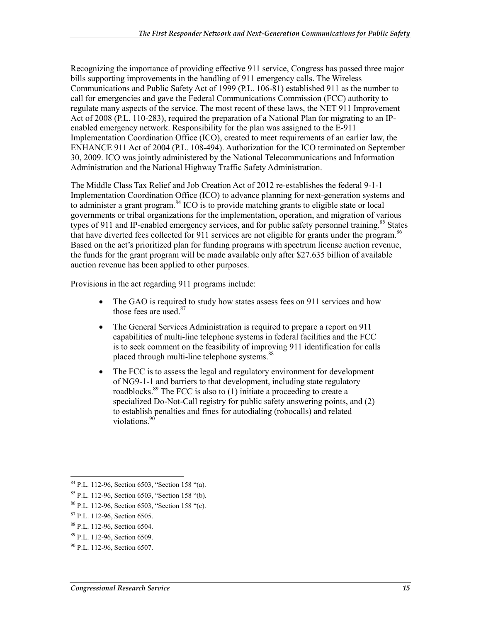Recognizing the importance of providing effective 911 service, Congress has passed three major bills supporting improvements in the handling of 911 emergency calls. The Wireless Communications and Public Safety Act of 1999 (P.L. 106-81) established 911 as the number to call for emergencies and gave the Federal Communications Commission (FCC) authority to regulate many aspects of the service. The most recent of these laws, the NET 911 Improvement Act of 2008 (P.L. 110-283), required the preparation of a National Plan for migrating to an IPenabled emergency network. Responsibility for the plan was assigned to the E-911 Implementation Coordination Office (ICO), created to meet requirements of an earlier law, the ENHANCE 911 Act of 2004 (P.L. 108-494). Authorization for the ICO terminated on September 30, 2009. ICO was jointly administered by the National Telecommunications and Information Administration and the National Highway Traffic Safety Administration.

The Middle Class Tax Relief and Job Creation Act of 2012 re-establishes the federal 9-1-1 Implementation Coordination Office (ICO) to advance planning for next-generation systems and to administer a grant program.<sup>84</sup> ICO is to provide matching grants to eligible state or local governments or tribal organizations for the implementation, operation, and migration of various types of 911 and IP-enabled emergency services, and for public safety personnel training.<sup>85</sup> States that have diverted fees collected for 911 services are not eligible for grants under the program.  $86$ Based on the act's prioritized plan for funding programs with spectrum license auction revenue, the funds for the grant program will be made available only after \$27.635 billion of available auction revenue has been applied to other purposes.

Provisions in the act regarding 911 programs include:

- The GAO is required to study how states assess fees on 911 services and how those fees are used.<sup>87</sup>
- The General Services Administration is required to prepare a report on 911 capabilities of multi-line telephone systems in federal facilities and the FCC is to seek comment on the feasibility of improving 911 identification for calls placed through multi-line telephone systems.<sup>88</sup>
- The FCC is to assess the legal and regulatory environment for development of NG9-1-1 and barriers to that development, including state regulatory roadblocks.<sup>89</sup> The FCC is also to  $(1)$  initiate a proceeding to create a specialized Do-Not-Call registry for public safety answering points, and (2) to establish penalties and fines for autodialing (robocalls) and related violations.<sup>90</sup>

<sup>1</sup> 84 P.L. 112-96, Section 6503, "Section 158 "(a).

<sup>85</sup> P.L. 112-96, Section 6503, "Section 158 "(b).

<sup>86</sup> P.L. 112-96, Section 6503, "Section 158 "(c).

<sup>87</sup> P.L. 112-96, Section 6505.

<sup>88</sup> P.L. 112-96, Section 6504.

<sup>89</sup> P.L. 112-96, Section 6509.

 $90$  P.L. 112-96. Section 6507.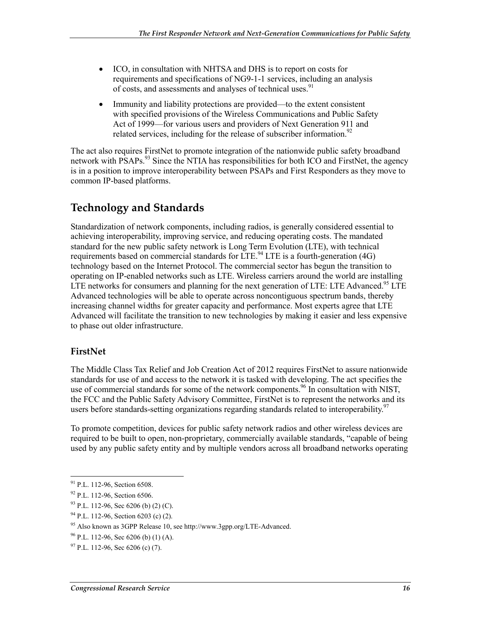- ICO, in consultation with NHTSA and DHS is to report on costs for requirements and specifications of NG9-1-1 services, including an analysis of costs, and assessments and analyses of technical uses.<sup>91</sup>
- Immunity and liability protections are provided—to the extent consistent with specified provisions of the Wireless Communications and Public Safety Act of 1999—for various users and providers of Next Generation 911 and related services, including for the release of subscriber information.<sup>92</sup>

The act also requires FirstNet to promote integration of the nationwide public safety broadband network with  $\overline{PSAPs}^{93}$  Since the NTIA has responsibilities for both ICO and FirstNet, the agency is in a position to improve interoperability between PSAPs and First Responders as they move to common IP-based platforms.

### **Technology and Standards**

Standardization of network components, including radios, is generally considered essential to achieving interoperability, improving service, and reducing operating costs. The mandated standard for the new public safety network is Long Term Evolution (LTE), with technical requirements based on commercial standards for  $\overline{LTE}^{94}$  LTE is a fourth-generation (4G) technology based on the Internet Protocol. The commercial sector has begun the transition to operating on IP-enabled networks such as LTE. Wireless carriers around the world are installing LTE networks for consumers and planning for the next generation of LTE: LTE Advanced.<sup>95</sup> LTE Advanced technologies will be able to operate across noncontiguous spectrum bands, thereby increasing channel widths for greater capacity and performance. Most experts agree that LTE Advanced will facilitate the transition to new technologies by making it easier and less expensive to phase out older infrastructure.

#### **FirstNet**

The Middle Class Tax Relief and Job Creation Act of 2012 requires FirstNet to assure nationwide standards for use of and access to the network it is tasked with developing. The act specifies the use of commercial standards for some of the network components.<sup>96</sup> In consultation with NIST, the FCC and the Public Safety Advisory Committee, FirstNet is to represent the networks and its users before standards-setting organizations regarding standards related to interoperability.<sup>97</sup>

To promote competition, devices for public safety network radios and other wireless devices are required to be built to open, non-proprietary, commercially available standards, "capable of being used by any public safety entity and by multiple vendors across all broadband networks operating

<sup>1</sup>  $91$  P.L. 112-96, Section 6508.

<sup>92</sup> P.L. 112-96, Section 6506.

 $93$  P.L. 112-96, Sec 6206 (b) (2) (C).

<sup>94</sup> P.L. 112-96, Section 6203 (c) (2).

<sup>95</sup> Also known as 3GPP Release 10, see http://www.3gpp.org/LTE-Advanced.

 $96$  P.L. 112-96, Sec 6206 (b) (1) (A).

 $97$  P.L. 112-96, Sec 6206 (c) (7).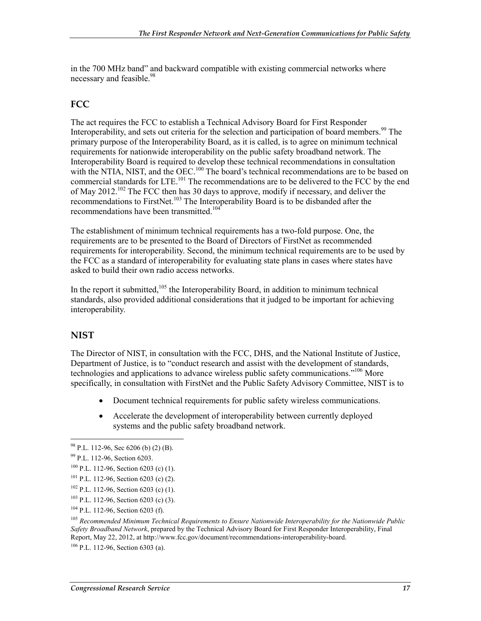in the 700 MHz band" and backward compatible with existing commercial networks where necessary and feasible.<sup>98</sup>

#### **FCC**

The act requires the FCC to establish a Technical Advisory Board for First Responder Interoperability, and sets out criteria for the selection and participation of board members.<sup>99</sup> The primary purpose of the Interoperability Board, as it is called, is to agree on minimum technical requirements for nationwide interoperability on the public safety broadband network. The Interoperability Board is required to develop these technical recommendations in consultation with the NTIA, NIST, and the OEC.<sup>100</sup> The board's technical recommendations are to be based on commercial standards for LTE.<sup>101</sup> The recommendations are to be delivered to the FCC by the end of May 2012.<sup>102</sup> The FCC then has 30 days to approve, modify if necessary, and deliver the recommendations to FirstNet.<sup>103</sup> The Interoperability Board is to be disbanded after the recommendations have been transmitted.<sup>104</sup>

The establishment of minimum technical requirements has a two-fold purpose. One, the requirements are to be presented to the Board of Directors of FirstNet as recommended requirements for interoperability. Second, the minimum technical requirements are to be used by the FCC as a standard of interoperability for evaluating state plans in cases where states have asked to build their own radio access networks.

In the report it submitted,<sup>105</sup> the Interoperability Board, in addition to minimum technical standards, also provided additional considerations that it judged to be important for achieving interoperability.

#### **NIST**

<u>.</u>

The Director of NIST, in consultation with the FCC, DHS, and the National Institute of Justice, Department of Justice, is to "conduct research and assist with the development of standards, technologies and applications to advance wireless public safety communications."<sup>106</sup> More specifically, in consultation with FirstNet and the Public Safety Advisory Committee, NIST is to

- Document technical requirements for public safety wireless communications.
- Accelerate the development of interoperability between currently deployed systems and the public safety broadband network.

<sup>101</sup> P.L. 112-96, Section 6203 (c) (2).

103 P.L. 112-96, Section 6203 (c) (3).

 $106$  P.L. 112-96, Section 6303 (a).

 $98$  P.L. 112-96, Sec 6206 (b) (2) (B).

<sup>99</sup> P.L. 112-96, Section 6203.

 $100$  P.L. 112-96, Section 6203 (c) (1).

 $102$  P.L. 112-96, Section 6203 (c) (1).

<sup>104</sup> P.L. 112-96, Section 6203 (f).

<sup>105</sup> *Recommended Minimum Technical Requirements to Ensure Nationwide Interoperability for the Nationwide Public Safety Broadband Network*, prepared by the Technical Advisory Board for First Responder Interoperability, Final Report, May 22, 2012, at http://www.fcc.gov/document/recommendations-interoperability-board.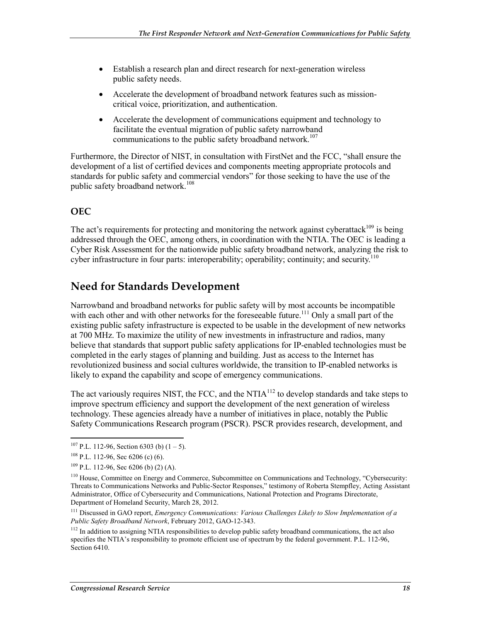- Establish a research plan and direct research for next-generation wireless public safety needs.
- Accelerate the development of broadband network features such as missioncritical voice, prioritization, and authentication.
- Accelerate the development of communications equipment and technology to facilitate the eventual migration of public safety narrowband communications to the public safety broadband network.<sup>107</sup>

Furthermore, the Director of NIST, in consultation with FirstNet and the FCC, "shall ensure the development of a list of certified devices and components meeting appropriate protocols and standards for public safety and commercial vendors" for those seeking to have the use of the public safety broadband network.<sup>108</sup>

#### **OEC**

The act's requirements for protecting and monitoring the network against cyberattack<sup>109</sup> is being addressed through the OEC, among others, in coordination with the NTIA. The OEC is leading a Cyber Risk Assessment for the nationwide public safety broadband network, analyzing the risk to cyber infrastructure in four parts: interoperability; operability; continuity; and security.<sup>110</sup>

### **Need for Standards Development**

Narrowband and broadband networks for public safety will by most accounts be incompatible with each other and with other networks for the foreseeable future.<sup>111</sup> Only a small part of the existing public safety infrastructure is expected to be usable in the development of new networks at 700 MHz. To maximize the utility of new investments in infrastructure and radios, many believe that standards that support public safety applications for IP-enabled technologies must be completed in the early stages of planning and building. Just as access to the Internet has revolutionized business and social cultures worldwide, the transition to IP-enabled networks is likely to expand the capability and scope of emergency communications.

The act variously requires NIST, the FCC, and the NTIA<sup>112</sup> to develop standards and take steps to improve spectrum efficiency and support the development of the next generation of wireless technology. These agencies already have a number of initiatives in place, notably the Public Safety Communications Research program (PSCR). PSCR provides research, development, and

 $107$  P.L. 112-96, Section 6303 (b)  $(1 – 5)$ .

 $108$  P.L. 112-96, Sec 6206 (c) (6).

 $109$  P.L. 112-96, Sec 6206 (b) (2) (A).

<sup>&</sup>lt;sup>110</sup> House, Committee on Energy and Commerce, Subcommittee on Communications and Technology, "Cybersecurity: Threats to Communications Networks and Public-Sector Responses," testimony of Roberta Stempfley, Acting Assistant Administrator, Office of Cybersecurity and Communications, National Protection and Programs Directorate, Department of Homeland Security, March 28, 2012.

<sup>111</sup> Discussed in GAO report, *Emergency Communications: Various Challenges Likely to Slow Implementation of a Public Safety Broadband Network*, February 2012, GAO-12-343.

<sup>&</sup>lt;sup>112</sup> In addition to assigning NTIA responsibilities to develop public safety broadband communications, the act also specifies the NTIA's responsibility to promote efficient use of spectrum by the federal government. P.L. 112-96, Section 6410.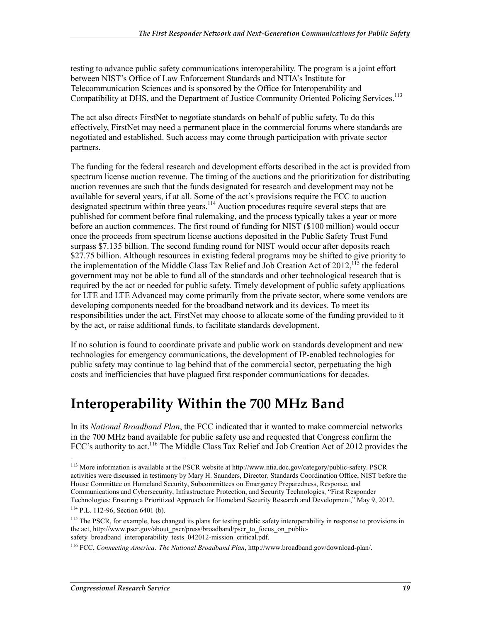testing to advance public safety communications interoperability. The program is a joint effort between NIST's Office of Law Enforcement Standards and NTIA's Institute for Telecommunication Sciences and is sponsored by the Office for Interoperability and Compatibility at DHS, and the Department of Justice Community Oriented Policing Services.<sup>113</sup>

The act also directs FirstNet to negotiate standards on behalf of public safety. To do this effectively, FirstNet may need a permanent place in the commercial forums where standards are negotiated and established. Such access may come through participation with private sector partners.

The funding for the federal research and development efforts described in the act is provided from spectrum license auction revenue. The timing of the auctions and the prioritization for distributing auction revenues are such that the funds designated for research and development may not be available for several years, if at all. Some of the act's provisions require the FCC to auction designated spectrum within three years.<sup>114</sup> Auction procedures require several steps that are published for comment before final rulemaking, and the process typically takes a year or more before an auction commences. The first round of funding for NIST (\$100 million) would occur once the proceeds from spectrum license auctions deposited in the Public Safety Trust Fund surpass \$7.135 billion. The second funding round for NIST would occur after deposits reach \$27.75 billion. Although resources in existing federal programs may be shifted to give priority to the implementation of the Middle Class Tax Relief and Job Creation Act of 2012,<sup>115</sup> the federal government may not be able to fund all of the standards and other technological research that is required by the act or needed for public safety. Timely development of public safety applications for LTE and LTE Advanced may come primarily from the private sector, where some vendors are developing components needed for the broadband network and its devices. To meet its responsibilities under the act, FirstNet may choose to allocate some of the funding provided to it by the act, or raise additional funds, to facilitate standards development.

If no solution is found to coordinate private and public work on standards development and new technologies for emergency communications, the development of IP-enabled technologies for public safety may continue to lag behind that of the commercial sector, perpetuating the high costs and inefficiencies that have plagued first responder communications for decades.

# **Interoperability Within the 700 MHz Band**

In its *National Broadband Plan*, the FCC indicated that it wanted to make commercial networks in the 700 MHz band available for public safety use and requested that Congress confirm the FCC's authority to act.<sup>116</sup> The Middle Class Tax Relief and Job Creation Act of 2012 provides the

<sup>113</sup> More information is available at the PSCR website at http://www.ntia.doc.gov/category/public-safety. PSCR activities were discussed in testimony by Mary H. Saunders, Director, Standards Coordination Office, NIST before the House Committee on Homeland Security, Subcommittees on Emergency Preparedness, Response, and Communications and Cybersecurity, Infrastructure Protection, and Security Technologies, "First Responder Technologies: Ensuring a Prioritized Approach for Homeland Security Research and Development," May 9, 2012.

<sup>114</sup> P.L. 112-96, Section 6401 (b).

<sup>&</sup>lt;sup>115</sup> The PSCR, for example, has changed its plans for testing public safety interoperability in response to provisions in the act, http://www.pscr.gov/about\_pscr/press/broadband/pscr\_to\_focus\_on\_publicsafety broadband interoperability tests 042012-mission critical.pdf.

<sup>116</sup> FCC, *Connecting America: The National Broadband Plan*, http://www.broadband.gov/download-plan/.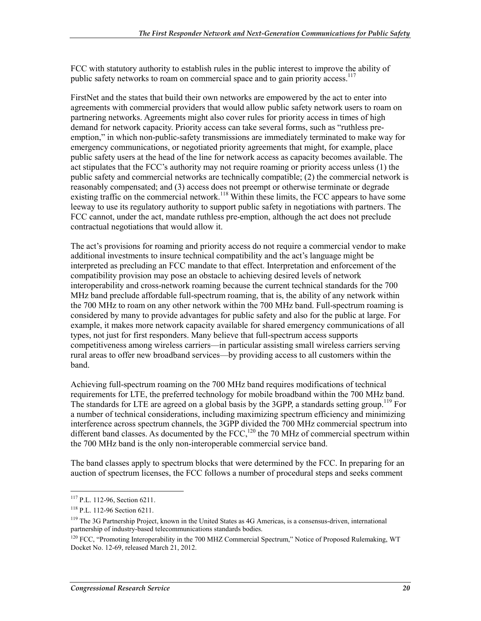FCC with statutory authority to establish rules in the public interest to improve the ability of public safety networks to roam on commercial space and to gain priority access.<sup>117</sup>

FirstNet and the states that build their own networks are empowered by the act to enter into agreements with commercial providers that would allow public safety network users to roam on partnering networks. Agreements might also cover rules for priority access in times of high demand for network capacity. Priority access can take several forms, such as "ruthless preemption," in which non-public-safety transmissions are immediately terminated to make way for emergency communications, or negotiated priority agreements that might, for example, place public safety users at the head of the line for network access as capacity becomes available. The act stipulates that the FCC's authority may not require roaming or priority access unless (1) the public safety and commercial networks are technically compatible; (2) the commercial network is reasonably compensated; and (3) access does not preempt or otherwise terminate or degrade existing traffic on the commercial network.<sup>118</sup> Within these limits, the FCC appears to have some leeway to use its regulatory authority to support public safety in negotiations with partners. The FCC cannot, under the act, mandate ruthless pre-emption, although the act does not preclude contractual negotiations that would allow it.

The act's provisions for roaming and priority access do not require a commercial vendor to make additional investments to insure technical compatibility and the act's language might be interpreted as precluding an FCC mandate to that effect. Interpretation and enforcement of the compatibility provision may pose an obstacle to achieving desired levels of network interoperability and cross-network roaming because the current technical standards for the 700 MHz band preclude affordable full-spectrum roaming, that is, the ability of any network within the 700 MHz to roam on any other network within the 700 MHz band. Full-spectrum roaming is considered by many to provide advantages for public safety and also for the public at large. For example, it makes more network capacity available for shared emergency communications of all types, not just for first responders. Many believe that full-spectrum access supports competitiveness among wireless carriers—in particular assisting small wireless carriers serving rural areas to offer new broadband services—by providing access to all customers within the band.

Achieving full-spectrum roaming on the 700 MHz band requires modifications of technical requirements for LTE, the preferred technology for mobile broadband within the 700 MHz band. The standards for LTE are agreed on a global basis by the 3GPP, a standards setting group.<sup>119</sup> For a number of technical considerations, including maximizing spectrum efficiency and minimizing interference across spectrum channels, the 3GPP divided the 700 MHz commercial spectrum into different band classes. As documented by the FCC,<sup>120</sup> the 70 MHz of commercial spectrum within the 700 MHz band is the only non-interoperable commercial service band.

The band classes apply to spectrum blocks that were determined by the FCC. In preparing for an auction of spectrum licenses, the FCC follows a number of procedural steps and seeks comment

<sup>117</sup> P.L. 112-96, Section 6211.

<sup>118</sup> P.L. 112-96 Section 6211.

<sup>&</sup>lt;sup>119</sup> The 3G Partnership Project, known in the United States as 4G Americas, is a consensus-driven, international partnership of industry-based telecommunications standards bodies.

<sup>&</sup>lt;sup>120</sup> FCC, "Promoting Interoperability in the 700 MHZ Commercial Spectrum," Notice of Proposed Rulemaking, WT Docket No. 12-69, released March 21, 2012.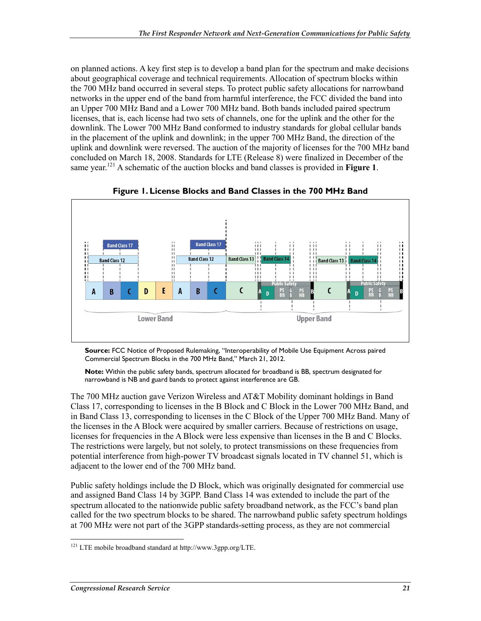on planned actions. A key first step is to develop a band plan for the spectrum and make decisions about geographical coverage and technical requirements. Allocation of spectrum blocks within the 700 MHz band occurred in several steps. To protect public safety allocations for narrowband networks in the upper end of the band from harmful interference, the FCC divided the band into an Upper 700 MHz Band and a Lower 700 MHz band. Both bands included paired spectrum licenses, that is, each license had two sets of channels, one for the uplink and the other for the downlink. The Lower 700 MHz Band conformed to industry standards for global cellular bands in the placement of the uplink and downlink; in the upper 700 MHz Band, the direction of the uplink and downlink were reversed. The auction of the majority of licenses for the 700 MHz band concluded on March 18, 2008. Standards for LTE (Release 8) were finalized in December of the same year.121 A schematic of the auction blocks and band classes is provided in **Figure 1**.





**Source:** FCC Notice of Proposed Rulemaking, "Interoperability of Mobile Use Equipment Across paired Commercial Spectrum Blocks in the 700 MHz Band," March 21, 2012.

**Note:** Within the public safety bands, spectrum allocated for broadband is BB, spectrum designated for narrowband is NB and guard bands to protect against interference are GB.

The 700 MHz auction gave Verizon Wireless and AT&T Mobility dominant holdings in Band Class 17, corresponding to licenses in the B Block and C Block in the Lower 700 MHz Band, and in Band Class 13, corresponding to licenses in the C Block of the Upper 700 MHz Band. Many of the licenses in the A Block were acquired by smaller carriers. Because of restrictions on usage, licenses for frequencies in the A Block were less expensive than licenses in the B and C Blocks. The restrictions were largely, but not solely, to protect transmissions on these frequencies from potential interference from high-power TV broadcast signals located in TV channel 51, which is adjacent to the lower end of the 700 MHz band.

Public safety holdings include the D Block, which was originally designated for commercial use and assigned Band Class 14 by 3GPP. Band Class 14 was extended to include the part of the spectrum allocated to the nationwide public safety broadband network, as the FCC's band plan called for the two spectrum blocks to be shared. The narrowband public safety spectrum holdings at 700 MHz were not part of the 3GPP standards-setting process, as they are not commercial

<sup>&</sup>lt;u>.</u> <sup>121</sup> LTE mobile broadband standard at http://www.3gpp.org/LTE.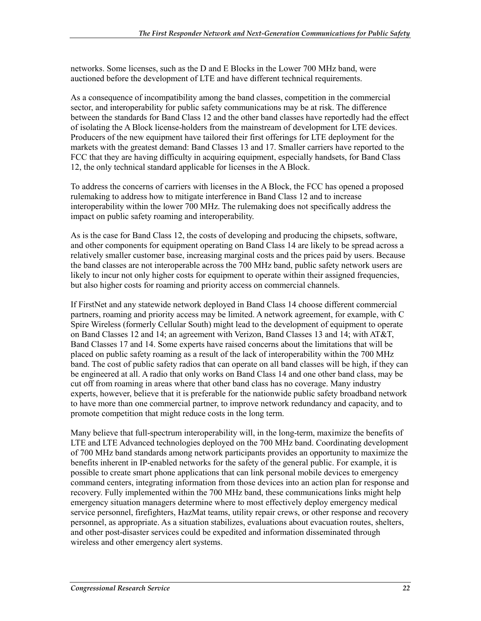networks. Some licenses, such as the D and E Blocks in the Lower 700 MHz band, were auctioned before the development of LTE and have different technical requirements.

As a consequence of incompatibility among the band classes, competition in the commercial sector, and interoperability for public safety communications may be at risk. The difference between the standards for Band Class 12 and the other band classes have reportedly had the effect of isolating the A Block license-holders from the mainstream of development for LTE devices. Producers of the new equipment have tailored their first offerings for LTE deployment for the markets with the greatest demand: Band Classes 13 and 17. Smaller carriers have reported to the FCC that they are having difficulty in acquiring equipment, especially handsets, for Band Class 12, the only technical standard applicable for licenses in the A Block.

To address the concerns of carriers with licenses in the A Block, the FCC has opened a proposed rulemaking to address how to mitigate interference in Band Class 12 and to increase interoperability within the lower 700 MHz. The rulemaking does not specifically address the impact on public safety roaming and interoperability.

As is the case for Band Class 12, the costs of developing and producing the chipsets, software, and other components for equipment operating on Band Class 14 are likely to be spread across a relatively smaller customer base, increasing marginal costs and the prices paid by users. Because the band classes are not interoperable across the 700 MHz band, public safety network users are likely to incur not only higher costs for equipment to operate within their assigned frequencies, but also higher costs for roaming and priority access on commercial channels.

If FirstNet and any statewide network deployed in Band Class 14 choose different commercial partners, roaming and priority access may be limited. A network agreement, for example, with C Spire Wireless (formerly Cellular South) might lead to the development of equipment to operate on Band Classes 12 and 14; an agreement with Verizon, Band Classes 13 and 14; with AT&T, Band Classes 17 and 14. Some experts have raised concerns about the limitations that will be placed on public safety roaming as a result of the lack of interoperability within the 700 MHz band. The cost of public safety radios that can operate on all band classes will be high, if they can be engineered at all. A radio that only works on Band Class 14 and one other band class, may be cut off from roaming in areas where that other band class has no coverage. Many industry experts, however, believe that it is preferable for the nationwide public safety broadband network to have more than one commercial partner, to improve network redundancy and capacity, and to promote competition that might reduce costs in the long term.

Many believe that full-spectrum interoperability will, in the long-term, maximize the benefits of LTE and LTE Advanced technologies deployed on the 700 MHz band. Coordinating development of 700 MHz band standards among network participants provides an opportunity to maximize the benefits inherent in IP-enabled networks for the safety of the general public. For example, it is possible to create smart phone applications that can link personal mobile devices to emergency command centers, integrating information from those devices into an action plan for response and recovery. Fully implemented within the 700 MHz band, these communications links might help emergency situation managers determine where to most effectively deploy emergency medical service personnel, firefighters, HazMat teams, utility repair crews, or other response and recovery personnel, as appropriate. As a situation stabilizes, evaluations about evacuation routes, shelters, and other post-disaster services could be expedited and information disseminated through wireless and other emergency alert systems.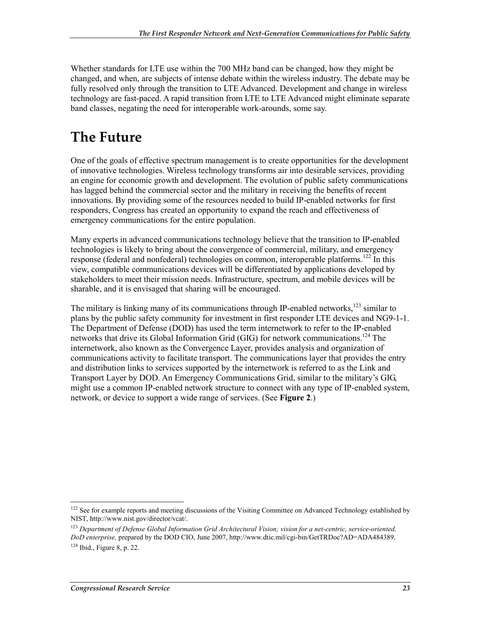Whether standards for LTE use within the 700 MHz band can be changed, how they might be changed, and when, are subjects of intense debate within the wireless industry. The debate may be fully resolved only through the transition to LTE Advanced. Development and change in wireless technology are fast-paced. A rapid transition from LTE to LTE Advanced might eliminate separate band classes, negating the need for interoperable work-arounds, some say.

# **The Future**

One of the goals of effective spectrum management is to create opportunities for the development of innovative technologies. Wireless technology transforms air into desirable services, providing an engine for economic growth and development. The evolution of public safety communications has lagged behind the commercial sector and the military in receiving the benefits of recent innovations. By providing some of the resources needed to build IP-enabled networks for first responders, Congress has created an opportunity to expand the reach and effectiveness of emergency communications for the entire population.

Many experts in advanced communications technology believe that the transition to IP-enabled technologies is likely to bring about the convergence of commercial, military, and emergency response (federal and nonfederal) technologies on common, interoperable platforms.<sup>122</sup> In this view, compatible communications devices will be differentiated by applications developed by stakeholders to meet their mission needs. Infrastructure, spectrum, and mobile devices will be sharable, and it is envisaged that sharing will be encouraged.

The military is linking many of its communications through IP-enabled networks,  $^{123}$  similar to plans by the public safety community for investment in first responder LTE devices and NG9-1-1. The Department of Defense (DOD) has used the term internetwork to refer to the IP-enabled networks that drive its Global Information Grid (GIG) for network communications.<sup>124</sup> The internetwork, also known as the Convergence Layer, provides analysis and organization of communications activity to facilitate transport. The communications layer that provides the entry and distribution links to services supported by the internetwork is referred to as the Link and Transport Layer by DOD. An Emergency Communications Grid, similar to the military's GIG, might use a common IP-enabled network structure to connect with any type of IP-enabled system, network, or device to support a wide range of services. (See **Figure 2**.)

<sup>&</sup>lt;sup>122</sup> See for example reports and meeting discussions of the Visiting Committee on Advanced Technology established by NIST, http://www.nist.gov/director/vcat/.

<sup>123</sup> *Department of Defense Global Information Grid Architectural Vision; vision for a net-centric, service-oriented, DoD enterprise,* prepared by the DOD CIO, June 2007, http://www.dtic.mil/cgi-bin/GetTRDoc?AD=ADA484389.  $124$  Ibid., Figure 8, p. 22.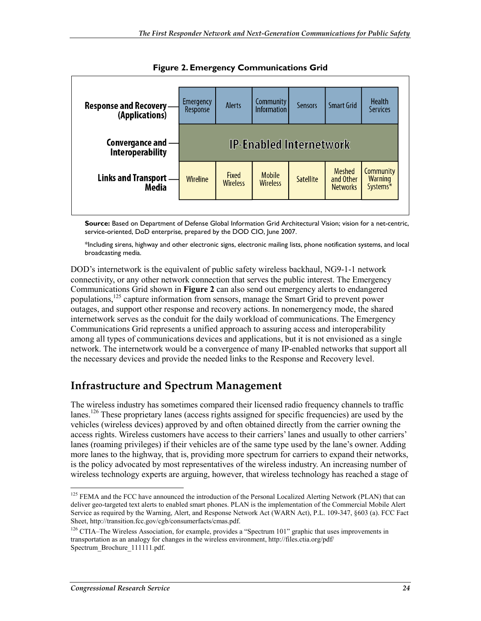

**Figure 2. Emergency Communications Grid** 

**Source:** Based on Department of Defense Global Information Grid Architectural Vision; vision for a net-centric, service-oriented, DoD enterprise, prepared by the DOD CIO, June 2007.

\*Including sirens, highway and other electronic signs, electronic mailing lists, phone notification systems, and local broadcasting media.

DOD's internetwork is the equivalent of public safety wireless backhaul, NG9-1-1 network connectivity, or any other network connection that serves the public interest. The Emergency Communications Grid shown in **Figure 2** can also send out emergency alerts to endangered populations,<sup>125</sup> capture information from sensors, manage the Smart Grid to prevent power outages, and support other response and recovery actions. In nonemergency mode, the shared internetwork serves as the conduit for the daily workload of communications. The Emergency Communications Grid represents a unified approach to assuring access and interoperability among all types of communications devices and applications, but it is not envisioned as a single network. The internetwork would be a convergence of many IP-enabled networks that support all the necessary devices and provide the needed links to the Response and Recovery level.

### **Infrastructure and Spectrum Management**

The wireless industry has sometimes compared their licensed radio frequency channels to traffic lanes.<sup>126</sup> These proprietary lanes (access rights assigned for specific frequencies) are used by the vehicles (wireless devices) approved by and often obtained directly from the carrier owning the access rights. Wireless customers have access to their carriers' lanes and usually to other carriers' lanes (roaming privileges) if their vehicles are of the same type used by the lane's owner. Adding more lanes to the highway, that is, providing more spectrum for carriers to expand their networks, is the policy advocated by most representatives of the wireless industry. An increasing number of wireless technology experts are arguing, however, that wireless technology has reached a stage of

<sup>1</sup> <sup>125</sup> FEMA and the FCC have announced the introduction of the Personal Localized Alerting Network (PLAN) that can deliver geo-targeted text alerts to enabled smart phones. PLAN is the implementation of the Commercial Mobile Alert Service as required by the Warning, Alert, and Response Network Act (WARN Act), P.L. 109-347, §603 (a). FCC Fact Sheet, http://transition.fcc.gov/cgb/consumerfacts/cmas.pdf.

<sup>&</sup>lt;sup>126</sup> CTIA–The Wireless Association, for example, provides a "Spectrum 101" graphic that uses improvements in transportation as an analogy for changes in the wireless environment, http://files.ctia.org/pdf/ Spectrum\_Brochure\_111111.pdf.